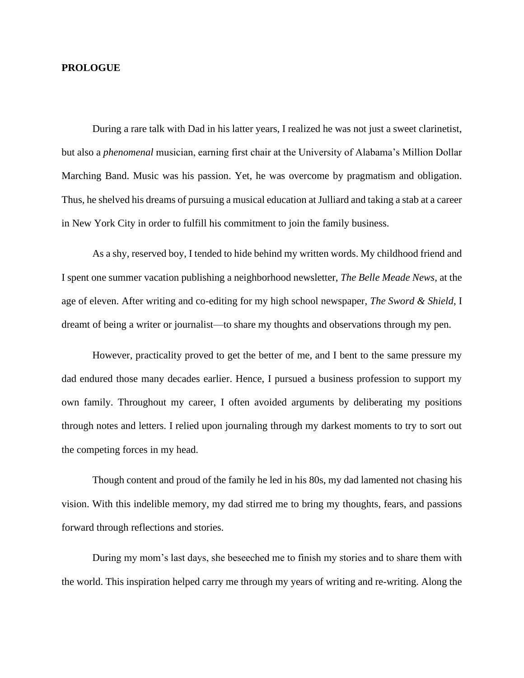## **PROLOGUE**

During a rare talk with Dad in his latter years, I realized he was not just a sweet clarinetist, but also a *phenomenal* musician, earning first chair at the University of Alabama's Million Dollar Marching Band. Music was his passion. Yet, he was overcome by pragmatism and obligation. Thus, he shelved his dreams of pursuing a musical education at Julliard and taking a stab at a career in New York City in order to fulfill his commitment to join the family business.

As a shy, reserved boy, I tended to hide behind my written words. My childhood friend and I spent one summer vacation publishing a neighborhood newsletter, *The Belle Meade News*, at the age of eleven. After writing and co-editing for my high school newspaper, *The Sword & Shield*, I dreamt of being a writer or journalist—to share my thoughts and observations through my pen.

However, practicality proved to get the better of me, and I bent to the same pressure my dad endured those many decades earlier. Hence, I pursued a business profession to support my own family. Throughout my career, I often avoided arguments by deliberating my positions through notes and letters. I relied upon journaling through my darkest moments to try to sort out the competing forces in my head.

Though content and proud of the family he led in his 80s, my dad lamented not chasing his vision. With this indelible memory, my dad stirred me to bring my thoughts, fears, and passions forward through reflections and stories.

During my mom's last days, she beseeched me to finish my stories and to share them with the world. This inspiration helped carry me through my years of writing and re-writing. Along the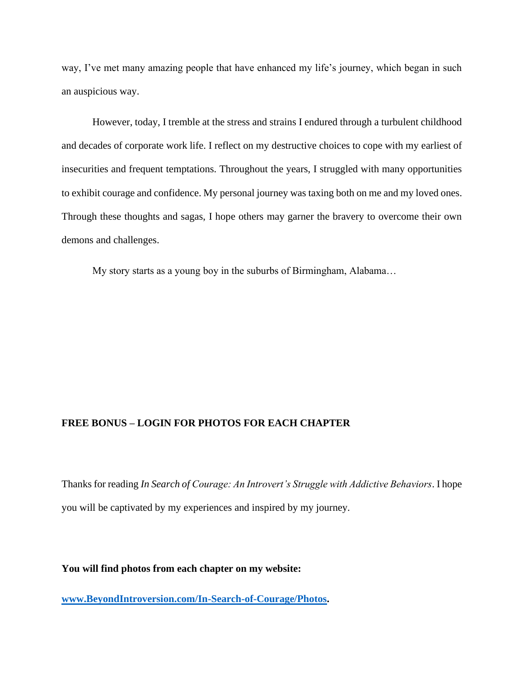way, I've met many amazing people that have enhanced my life's journey, which began in such an auspicious way.

However, today, I tremble at the stress and strains I endured through a turbulent childhood and decades of corporate work life. I reflect on my destructive choices to cope with my earliest of insecurities and frequent temptations. Throughout the years, I struggled with many opportunities to exhibit courage and confidence. My personal journey was taxing both on me and my loved ones. Through these thoughts and sagas, I hope others may garner the bravery to overcome their own demons and challenges.

My story starts as a young boy in the suburbs of Birmingham, Alabama…

## **FREE BONUS – LOGIN FOR PHOTOS FOR EACH CHAPTER**

Thanks for reading *In Search of Courage: An Introvert's Struggle with Addictive Behaviors*. I hope you will be captivated by my experiences and inspired by my journey.

**You will find photos from each chapter on my website:** 

**[www.BeyondIntroversion.com/In-Search-of-Courage/Photos.](http://www.beyondintroversion.com/In-Search-of-Courage/Photos)**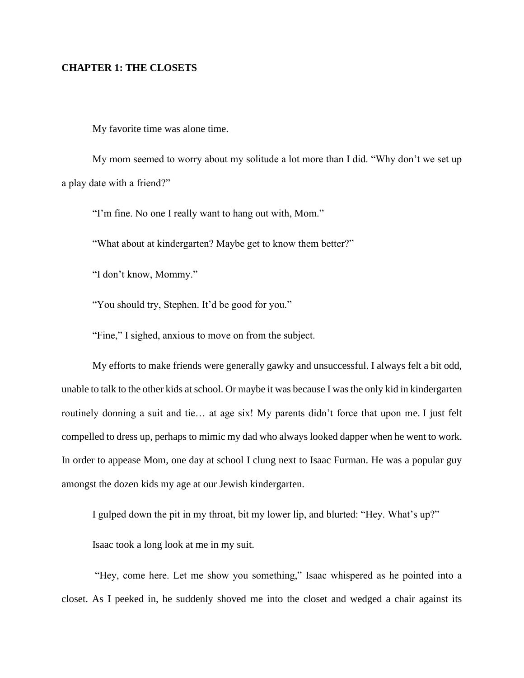## **CHAPTER 1: THE CLOSETS**

My favorite time was alone time.

My mom seemed to worry about my solitude a lot more than I did. "Why don't we set up a play date with a friend?"

"I'm fine. No one I really want to hang out with, Mom."

"What about at kindergarten? Maybe get to know them better?"

"I don't know, Mommy."

"You should try, Stephen. It'd be good for you."

"Fine," I sighed, anxious to move on from the subject.

My efforts to make friends were generally gawky and unsuccessful. I always felt a bit odd, unable to talk to the other kids at school. Or maybe it was because I was the only kid in kindergarten routinely donning a suit and tie… at age six! My parents didn't force that upon me. I just felt compelled to dress up, perhaps to mimic my dad who always looked dapper when he went to work. In order to appease Mom, one day at school I clung next to Isaac Furman. He was a popular guy amongst the dozen kids my age at our Jewish kindergarten.

I gulped down the pit in my throat, bit my lower lip, and blurted: "Hey. What's up?"

Isaac took a long look at me in my suit.

"Hey, come here. Let me show you something," Isaac whispered as he pointed into a closet. As I peeked in, he suddenly shoved me into the closet and wedged a chair against its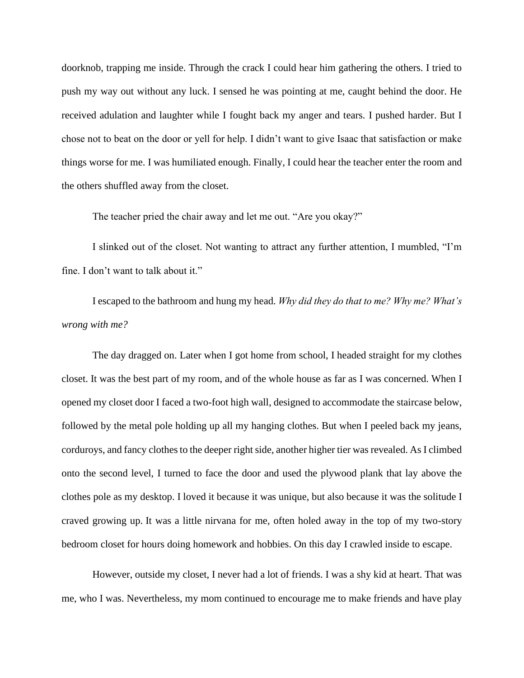doorknob, trapping me inside. Through the crack I could hear him gathering the others. I tried to push my way out without any luck. I sensed he was pointing at me, caught behind the door. He received adulation and laughter while I fought back my anger and tears. I pushed harder. But I chose not to beat on the door or yell for help. I didn't want to give Isaac that satisfaction or make things worse for me. I was humiliated enough. Finally, I could hear the teacher enter the room and the others shuffled away from the closet.

The teacher pried the chair away and let me out. "Are you okay?"

I slinked out of the closet. Not wanting to attract any further attention, I mumbled, "I'm fine. I don't want to talk about it."

I escaped to the bathroom and hung my head. *Why did they do that to me? Why me? What's wrong with me?*

The day dragged on. Later when I got home from school, I headed straight for my clothes closet. It was the best part of my room, and of the whole house as far as I was concerned. When I opened my closet door I faced a two-foot high wall, designed to accommodate the staircase below, followed by the metal pole holding up all my hanging clothes. But when I peeled back my jeans, corduroys, and fancy clothes to the deeper right side, another higher tier was revealed. As I climbed onto the second level, I turned to face the door and used the plywood plank that lay above the clothes pole as my desktop. I loved it because it was unique, but also because it was the solitude I craved growing up. It was a little nirvana for me, often holed away in the top of my two-story bedroom closet for hours doing homework and hobbies. On this day I crawled inside to escape.

However, outside my closet, I never had a lot of friends. I was a shy kid at heart. That was me, who I was. Nevertheless, my mom continued to encourage me to make friends and have play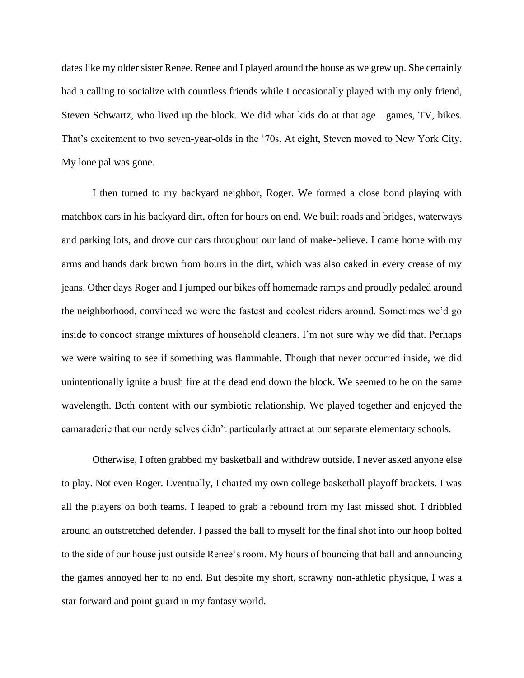dates like my older sister Renee. Renee and I played around the house as we grew up. She certainly had a calling to socialize with countless friends while I occasionally played with my only friend, Steven Schwartz, who lived up the block. We did what kids do at that age—games, TV, bikes. That's excitement to two seven-year-olds in the '70s. At eight, Steven moved to New York City. My lone pal was gone.

I then turned to my backyard neighbor, Roger. We formed a close bond playing with matchbox cars in his backyard dirt, often for hours on end. We built roads and bridges, waterways and parking lots, and drove our cars throughout our land of make-believe. I came home with my arms and hands dark brown from hours in the dirt, which was also caked in every crease of my jeans. Other days Roger and I jumped our bikes off homemade ramps and proudly pedaled around the neighborhood, convinced we were the fastest and coolest riders around. Sometimes we'd go inside to concoct strange mixtures of household cleaners. I'm not sure why we did that. Perhaps we were waiting to see if something was flammable. Though that never occurred inside, we did unintentionally ignite a brush fire at the dead end down the block. We seemed to be on the same wavelength. Both content with our symbiotic relationship. We played together and enjoyed the camaraderie that our nerdy selves didn't particularly attract at our separate elementary schools.

Otherwise, I often grabbed my basketball and withdrew outside. I never asked anyone else to play. Not even Roger. Eventually, I charted my own college basketball playoff brackets. I was all the players on both teams. I leaped to grab a rebound from my last missed shot. I dribbled around an outstretched defender. I passed the ball to myself for the final shot into our hoop bolted to the side of our house just outside Renee's room. My hours of bouncing that ball and announcing the games annoyed her to no end. But despite my short, scrawny non-athletic physique, I was a star forward and point guard in my fantasy world.